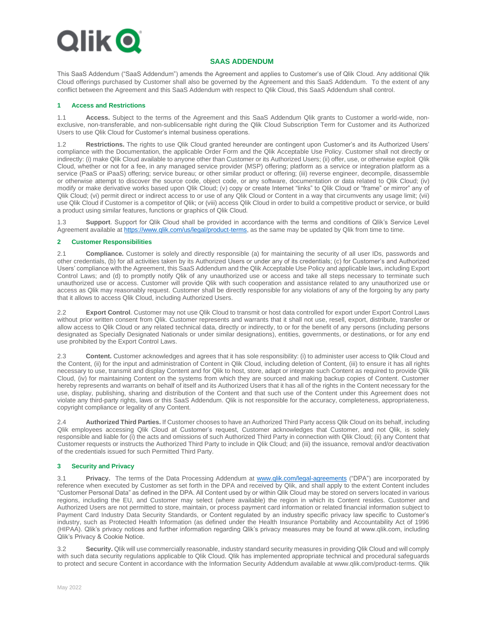

# **SAAS ADDENDUM**

This SaaS Addendum ("SaaS Addendum") amends the Agreement and applies to Customer's use of Qlik Cloud. Any additional Qlik Cloud offerings purchased by Customer shall also be governed by the Agreement and this SaaS Addendum. To the extent of any conflict between the Agreement and this SaaS Addendum with respect to Qlik Cloud, this SaaS Addendum shall control.

#### **1 Access and Restrictions**

1.1 **Access.** Subject to the terms of the Agreement and this SaaS Addendum Qlik grants to Customer a world-wide, nonexclusive, non-transferable, and non-sublicensable right during the Qlik Cloud Subscription Term for Customer and its Authorized Users to use Qlik Cloud for Customer's internal business operations.

1.2 **Restrictions.** The rights to use Qlik Cloud granted hereunder are contingent upon Customer's and its Authorized Users' compliance with the Documentation, the applicable Order Form and the Qlik Acceptable Use Policy. Customer shall not directly or indirectly: (i) make Qlik Cloud available to anyone other than Customer or its Authorized Users; (ii) offer, use, or otherwise exploit Qlik Cloud, whether or not for a fee, in any managed service provider (MSP) offering; platform as a service or integration platform as a service (PaaS or iPaaS) offering; service bureau; or other similar product or offering; (iii) reverse engineer, decompile, disassemble or otherwise attempt to discover the source code, object code, or any software, documentation or data related to Qlik Cloud; (iv) modify or make derivative works based upon Qlik Cloud; (v) copy or create Internet "links" to Qlik Cloud or "frame" or mirror" any of Qlik Cloud; (vi) permit direct or indirect access to or use of any Qlik Cloud or Content in a way that circumvents any usage limit; (vii) use Qlik Cloud if Customer is a competitor of Qlik; or (viii) access Qlik Cloud in order to build a competitive product or service, or build a product using similar features, functions or graphics of Qlik Cloud.

1.3 **Support**. Support for Qlik Cloud shall be provided in accordance with the terms and conditions of Qlik's Service Level Agreement available at [https://www.qlik.com/us/legal/product-terms,](https://www.qlik.com/us/legal/product-terms) as the same may be updated by Qlik from time to time.

#### **2 Customer Responsibilities**

2.1 **Compliance.** Customer is solely and directly responsible (a) for maintaining the security of all user IDs, passwords and other credentials, (b) for all activities taken by its Authorized Users or under any of its credentials; (c) for Customer's and Authorized Users' compliance with the Agreement, this SaaS Addendum and the Qlik Acceptable Use Policy and applicable laws, including Export Control Laws; and (d) to promptly notify Qlik of any unauthorized use or access and take all steps necessary to terminate such unauthorized use or access. Customer will provide Qlik with such cooperation and assistance related to any unauthorized use or access as Qlik may reasonably request. Customer shall be directly responsible for any violations of any of the forgoing by any party that it allows to access Qlik Cloud, including Authorized Users.

2.2 **Export Control**. Customer may not use Qlik Cloud to transmit or host data controlled for export under Export Control Laws without prior written consent from Qlik. Customer represents and warrants that it shall not use, resell, export, distribute, transfer or allow access to Qlik Cloud or any related technical data, directly or indirectly, to or for the benefit of any persons (including persons designated as Specially Designated Nationals or under similar designations), entities, governments, or destinations, or for any end use prohibited by the Export Control Laws.

2.3 **Content.** Customer acknowledges and agrees that it has sole responsibility: (i) to administer user access to Qlik Cloud and the Content, (ii) for the input and administration of Content in Qlik Cloud, including deletion of Content, (iii) to ensure it has all rights necessary to use, transmit and display Content and for Qlik to host, store, adapt or integrate such Content as required to provide Qlik Cloud, (iv) for maintaining Content on the systems from which they are sourced and making backup copies of Content. Customer hereby represents and warrants on behalf of itself and its Authorized Users that it has all of the rights in the Content necessary for the use, display, publishing, sharing and distribution of the Content and that such use of the Content under this Agreement does not violate any third-party rights, laws or this SaaS Addendum. Qlik is not responsible for the accuracy, completeness, appropriateness, copyright compliance or legality of any Content.

2.4 **Authorized Third Parties.** If Customer chooses to have an Authorized Third Party access Qlik Cloud on its behalf, including Qlik employees accessing Qlik Cloud at Customer's request, Customer acknowledges that Customer, and not Qlik, is solely responsible and liable for (i) the acts and omissions of such Authorized Third Party in connection with Qlik Cloud; (ii) any Content that Customer requests or instructs the Authorized Third Party to include in Qlik Cloud; and (iii) the issuance, removal and/or deactivation of the credentials issued for such Permitted Third Party.

# **3 Security and Privacy**

3.1 **Privacy.** The terms of the Data Processing Addendum at [www.qlik.com/legal-agreements](http://www.qlik.com/legal-agreements) ("DPA") are incorporated by reference when executed by Customer as set forth in the DPA and received by Qlik, and shall apply to the extent Content includes "Customer Personal Data" as defined in the DPA. All Content used by or within Qlik Cloud may be stored on servers located in various regions, including the EU, and Customer may select (where available) the region in which its Content resides. Customer and Authorized Users are not permitted to store, maintain, or process payment card information or related financial information subject to Payment Card Industry Data Security Standards, or Content regulated by an industry specific privacy law specific to Customer's industry, such as Protected Health Information (as defined under the Health Insurance Portability and Accountability Act of 1996 (HIPAA). Qlik's privacy notices and further information regarding Qlik's privacy measures may be found at www.qlik.com, including Qlik's Privacy & Cookie Notice.

3.2 **Security.** Qlik will use commercially reasonable, industry standard security measures in providing Qlik Cloud and will comply with such data security regulations applicable to Qlik Cloud. Qlik has implemented appropriate technical and procedural safeguards to protect and secure Content in accordance with the Information Security Addendum available at www.qlik.com/product-terms. Qlik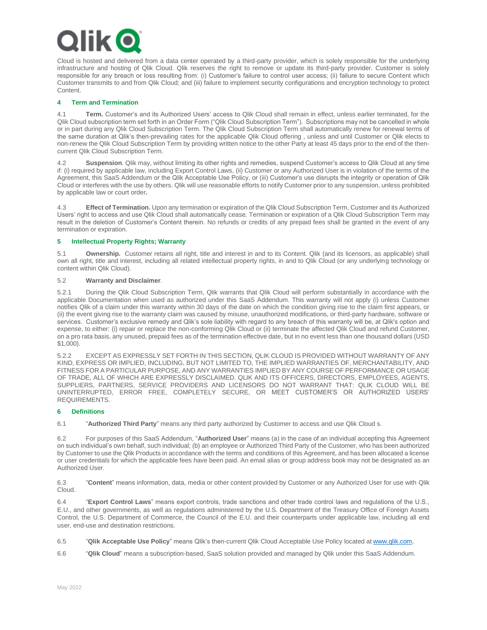# ik (

Cloud is hosted and delivered from a data center operated by a third-party provider, which is solely responsible for the underlying infrastructure and hosting of Qlik Cloud. Qlik reserves the right to remove or update its third-party provider. Customer is solely responsible for any breach or loss resulting from: (i) Customer's failure to control user access; (ii) failure to secure Content which Customer transmits to and from Qlik Cloud; and (iii) failure to implement security configurations and encryption technology to protect Content.

#### **4 Term and Termination**

4.1 **Term.** Customer's and its Authorized Users' access to Qlik Cloud shall remain in effect, unless earlier terminated, for the Qlik Cloud subscription term set forth in an Order Form ("Qlik Cloud Subscription Term"). Subscriptions may not be cancelled in whole or in part during any Qlik Cloud Subscription Term. The Qlik Cloud Subscription Term shall automatically renew for renewal terms of the same duration at Qlik's then-prevailing rates for the applicable Qlik Cloud offering , unless and until Customer or Qlik elects to non-renew the Qlik Cloud Subscription Term by providing written notice to the other Party at least 45 days prior to the end of the thencurrent Qlik Cloud Subscription Term.

4.2 **Suspension**. Qlik may, without limiting its other rights and remedies, suspend Customer's access to Qlik Cloud at any time if: (i) required by applicable law, including Export Control Laws, (ii) Customer or any Authorized User is in violation of the terms of the Agreement, this SaaS Addendum or the Qlik Acceptable Use Policy, or (iii) Customer's use disrupts the integrity or operation of Qlik Cloud or interferes with the use by others. Qlik will use reasonable efforts to notify Customer prior to any suspension, unless prohibited by applicable law or court order**.** 

4.3 **Effect of Termination.** Upon any termination or expiration of the Qlik Cloud Subscription Term, Customer and its Authorized Users' right to access and use Qlik Cloud shall automatically cease. Termination or expiration of a Qlik Cloud Subscription Term may result in the deletion of Customer's Content therein. No refunds or credits of any prepaid fees shall be granted in the event of any termination or expiration.

### **5 Intellectual Property Rights; Warranty**

5.1 **Ownership.** Customer retains all right, title and interest in and to its Content. Qlik (and its licensors, as applicable) shall own all right, title and interest, including all related intellectual property rights, in and to Qlik Cloud (or any underlying technology or content within Qlik Cloud).

### 5.2 **Warranty and Disclaimer**.

5.2.1 During the Qlik Cloud Subscription Term, Qlik warrants that Qlik Cloud will perform substantially in accordance with the applicable Documentation when used as authorized under this SaaS Addendum. This warranty will not apply (i) unless Customer notifies Qlik of a claim under this warranty within 30 days of the date on which the condition giving rise to the claim first appears, or (ii) the event giving rise to the warranty claim was caused by misuse, unauthorized modifications, or third-party hardware, software or services. Customer's exclusive remedy and Qlik's sole liability with regard to any breach of this warranty will be, at Qlik's option and expense, to either: (i) repair or replace the non-conforming Qlik Cloud or (ii) terminate the affected Qlik Cloud and refund Customer, on a pro rata basis, any unused, prepaid fees as of the termination effective date, but in no event less than one thousand dollars (USD \$1,000).

5.2.2 EXCEPT AS EXPRESSLY SET FORTH IN THIS SECTION, QLIK CLOUD IS PROVIDED WITHOUT WARRANTY OF ANY KIND, EXPRESS OR IMPLIED, INCLUDING, BUT NOT LIMITED TO, THE IMPLIED WARRANTIES OF, MERCHANTABILITY, AND FITNESS FOR A PARTICULAR PURPOSE, AND ANY WARRANTIES IMPLIED BY ANY COURSE OF PERFORMANCE OR USAGE OF TRADE, ALL OF WHICH ARE EXPRESSLY DISCLAIMED. QLIK AND ITS OFFICERS, DIRECTORS, EMPLOYEES, AGENTS, SUPPLIERS, PARTNERS, SERVICE PROVIDERS AND LICENSORS DO NOT WARRANT THAT: QLIK CLOUD WILL BE UNINTERRUPTED, ERROR FREE, COMPLETELY SECURE, OR MEET CUSTOMER'S OR AUTHORIZED USERS' REQUIREMENTS.

#### **6 Definitions**

6.1 "**Authorized Third Party**" means any third party authorized by Customer to access and use Qlik Cloud s.

6.2 For purposes of this SaaS Addendum, "**Authorized User**" means (a) in the case of an individual accepting this Agreement on such individual's own behalf, such individual; (b) an employee or Authorized Third Party of the Customer, who has been authorized by Customer to use the Qlik Products in accordance with the terms and conditions of this Agreement, and has been allocated a license or user credentials for which the applicable fees have been paid. An email alias or group address book may not be designated as an Authorized User.

6.3 "**Content**" means information, data, media or other content provided by Customer or any Authorized User for use with Qlik Cloud.

6.4 "**Export Control Laws**" means export controls, trade sanctions and other trade control laws and regulations of the U.S., E.U., and other governments, as well as regulations administered by the U.S. Department of the Treasury Office of Foreign Assets Control, the U.S. Department of Commerce, the Council of the E.U. and their counterparts under applicable law, including all end user, end-use and destination restrictions.

6.5 "**Qlik Acceptable Use Policy**" means Qlik's then-current Qlik Cloud Acceptable Use Policy located at [www.qlik.com.](http://www.qlik.com/)

6.6 "**Qlik Cloud**" means a subscription-based, SaaS solution provided and managed by Qlik under this SaaS Addendum.